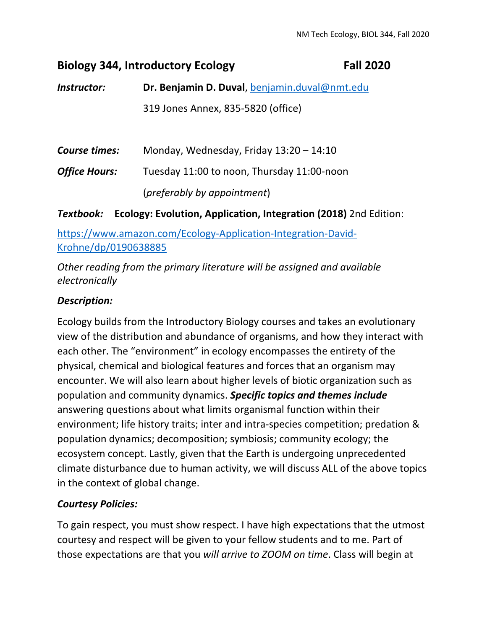# **Biology 344, Introductory Ecology Fall 2020**

*Instructor:* **Dr. Benjamin D. Duval**, benjamin.duval@nmt.edu 319 Jones Annex, 835‐5820 (office)

*Course times:* Monday, Wednesday, Friday 13:20 – 14:10 **Office Hours:** Tuesday 11:00 to noon, Thursday 11:00-noon (*preferably by appointment*)

*Textbook:* **Ecology: Evolution, Application, Integration (2018)** 2nd Edition:

https://www.amazon.com/Ecology-Application-Integration-David-Krohne/dp/0190638885

*Other reading from the primary literature will be assigned and available electronically*

## *Description:*

Ecology builds from the Introductory Biology courses and takes an evolutionary view of the distribution and abundance of organisms, and how they interact with each other. The "environment" in ecology encompasses the entirety of the physical, chemical and biological features and forces that an organism may encounter. We will also learn about higher levels of biotic organization such as population and community dynamics. *Specific topics and themes include* answering questions about what limits organismal function within their environment; life history traits; inter and intra‐species competition; predation & population dynamics; decomposition; symbiosis; community ecology; the ecosystem concept. Lastly, given that the Earth is undergoing unprecedented climate disturbance due to human activity, we will discuss ALL of the above topics in the context of global change.

## *Courtesy Policies:*

To gain respect, you must show respect. I have high expectations that the utmost courtesy and respect will be given to your fellow students and to me. Part of those expectations are that you *will arrive to ZOOM on time*. Class will begin at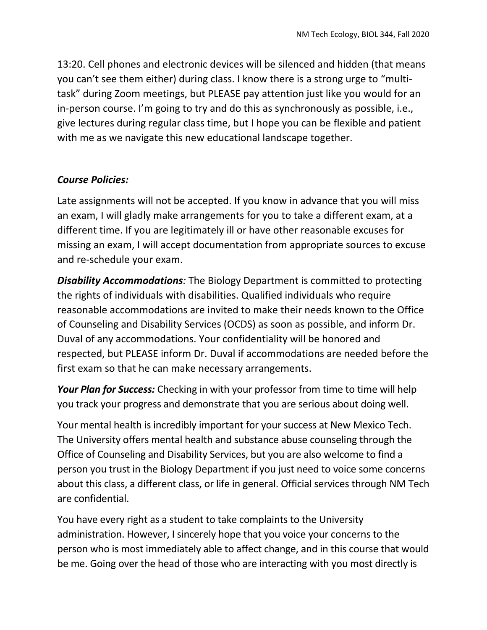13:20. Cell phones and electronic devices will be silenced and hidden (that means you can't see them either) during class. I know there is a strong urge to "multi‐ task" during Zoom meetings, but PLEASE pay attention just like you would for an in-person course. I'm going to try and do this as synchronously as possible, i.e., give lectures during regular class time, but I hope you can be flexible and patient with me as we navigate this new educational landscape together.

#### *Course Policies:*

Late assignments will not be accepted. If you know in advance that you will miss an exam, I will gladly make arrangements for you to take a different exam, at a different time. If you are legitimately ill or have other reasonable excuses for missing an exam, I will accept documentation from appropriate sources to excuse and re‐schedule your exam.

*Disability Accommodations:* The Biology Department is committed to protecting the rights of individuals with disabilities. Qualified individuals who require reasonable accommodations are invited to make their needs known to the Office of Counseling and Disability Services (OCDS) as soon as possible, and inform Dr. Duval of any accommodations. Your confidentiality will be honored and respected, but PLEASE inform Dr. Duval if accommodations are needed before the first exam so that he can make necessary arrangements.

*Your Plan for Success:* Checking in with your professor from time to time will help you track your progress and demonstrate that you are serious about doing well.

Your mental health is incredibly important for your success at New Mexico Tech. The University offers mental health and substance abuse counseling through the Office of Counseling and Disability Services, but you are also welcome to find a person you trust in the Biology Department if you just need to voice some concerns about this class, a different class, or life in general. Official services through NM Tech are confidential.

You have every right as a student to take complaints to the University administration. However, I sincerely hope that you voice your concerns to the person who is most immediately able to affect change, and in this course that would be me. Going over the head of those who are interacting with you most directly is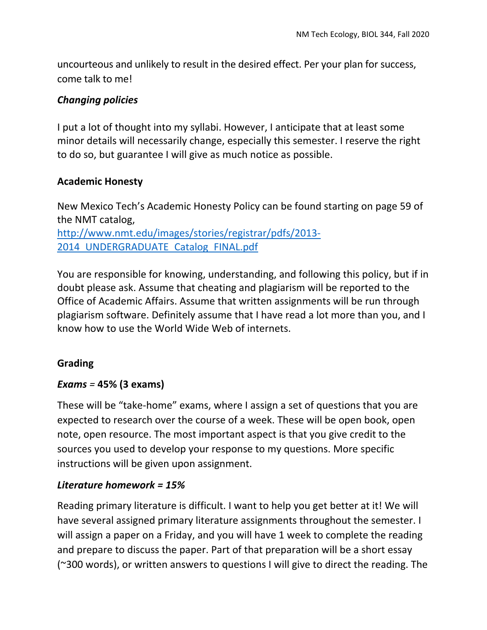uncourteous and unlikely to result in the desired effect. Per your plan for success, come talk to me!

#### *Changing policies*

I put a lot of thought into my syllabi. However, I anticipate that at least some minor details will necessarily change, especially this semester. I reserve the right to do so, but guarantee I will give as much notice as possible.

#### **Academic Honesty**

New Mexico Tech's Academic Honesty Policy can be found starting on page 59 of the NMT catalog, http://www.nmt.edu/images/stories/registrar/pdfs/2013‐ 2014 UNDERGRADUATE Catalog FINAL.pdf

You are responsible for knowing, understanding, and following this policy, but if in doubt please ask. Assume that cheating and plagiarism will be reported to the Office of Academic Affairs. Assume that written assignments will be run through plagiarism software. Definitely assume that I have read a lot more than you, and I know how to use the World Wide Web of internets.

#### **Grading**

## *Exams =* **45% (3 exams)**

These will be "take-home" exams, where I assign a set of questions that you are expected to research over the course of a week. These will be open book, open note, open resource. The most important aspect is that you give credit to the sources you used to develop your response to my questions. More specific instructions will be given upon assignment.

#### *Literature homework = 15%*

Reading primary literature is difficult. I want to help you get better at it! We will have several assigned primary literature assignments throughout the semester. I will assign a paper on a Friday, and you will have 1 week to complete the reading and prepare to discuss the paper. Part of that preparation will be a short essay (~300 words), or written answers to questions I will give to direct the reading. The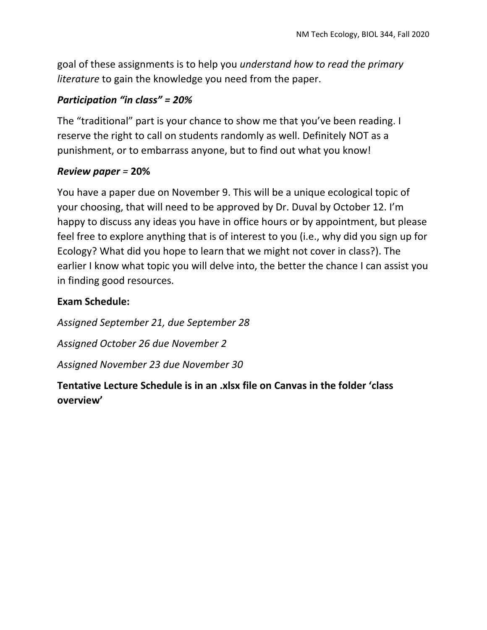goal of these assignments is to help you *understand how to read the primary literature* to gain the knowledge you need from the paper.

#### *Participation "in class" = 20%*

The "traditional" part is your chance to show me that you've been reading. I reserve the right to call on students randomly as well. Definitely NOT as a punishment, or to embarrass anyone, but to find out what you know!

#### *Review paper =* **20%**

You have a paper due on November 9. This will be a unique ecological topic of your choosing, that will need to be approved by Dr. Duval by October 12. I'm happy to discuss any ideas you have in office hours or by appointment, but please feel free to explore anything that is of interest to you (i.e., why did you sign up for Ecology? What did you hope to learn that we might not cover in class?). The earlier I know what topic you will delve into, the better the chance I can assist you in finding good resources.

#### **Exam Schedule:**

*Assigned September 21, due September 28 Assigned October 26 due November 2 Assigned November 23 due November 30* 

## **Tentative Lecture Schedule is in an .xlsx file on Canvas in the folder 'class overview'**